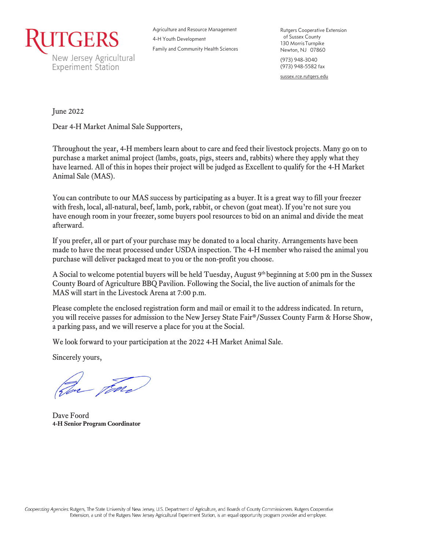

Agriculture and Resource Management 4-H Youth Development Family and Community Health Sciences Rutgers Cooperative Extension of Sussex County 130 MorrisTurnpike Newton, NJ 07860 (973) 948-3040 (973) 948-5582 fax sussex.rce.rutgers.edu

June 2022

Dear 4-H Market Animal Sale Supporters,

Throughout the year, 4-H members learn about to care and feed their livestock projects. Many go on to purchase a market animal project (lambs, goats, pigs, steers and, rabbits) where they apply what they have learned. All of this in hopes their project will be judged as Excellent to qualify for the 4-H Market Animal Sale (MAS).

You can contribute to our MAS success by participating as a buyer. It is a great way to fill your freezer with fresh, local, all-natural, beef, lamb, pork, rabbit, or chevon (goat meat). If you're not sure you have enough room in your freezer, some buyers pool resources to bid on an animal and divide the meat afterward.

If you prefer, all or part of your purchase may be donated to a local charity. Arrangements have been made to have the meat processed under USDA inspection. The 4-H member who raised the animal you purchase will deliver packaged meat to you or the non-profit you choose.

A Social to welcome potential buyers will be held Tuesday, August 9th beginning at 5:00 pm in the Sussex County Board of Agriculture BBQ Pavilion. Following the Social, the live auction of animals for the MAS will start in the Livestock Arena at 7:00 p.m.

Please complete the enclosed registration form and mail or email it to the address indicated. In return, you will receive passes for admission to the New Jersey State Fair®/Sussex County Farm & Horse Show, a parking pass, and we will reserve a place for you at the Social.

We look forward to your participation at the 2022 4-H Market Animal Sale.

Sincerely yours,

In Far

Dave Foord **4-H Senior Program Coordinator**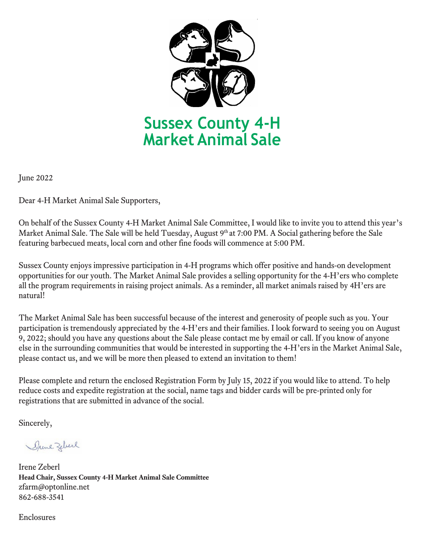

June 2022

Dear 4-H Market Animal Sale Supporters,

On behalf of the Sussex County 4-H Market Animal Sale Committee, I would like to invite you to attend this year's Market Animal Sale. The Sale will be held Tuesday, August 9th at 7:00 PM. A Social gathering before the Sale featuring barbecued meats, local corn and other fine foods will commence at 5:00 PM.

Sussex County enjoys impressive participation in 4-H programs which offer positive and hands-on development opportunities for our youth. The Market Animal Sale provides a selling opportunity for the 4-H'ers who complete all the program requirements in raising project animals. As a reminder, all market animals raised by 4H'ers are natural!

The Market Animal Sale has been successful because of the interest and generosity of people such as you. Your participation is tremendously appreciated by the 4-H'ers and their families. I look forward to seeing you on August 9, 2022; should you have any questions about the Sale please contact me by email or call. If you know of anyone else in the surrounding communities that would be interested in supporting the 4-H'ers in the Market Animal Sale, please contact us, and we will be more then pleased to extend an invitation to them!

Please complete and return the enclosed Registration Form by July 15, 2022 if you would like to attend. To help reduce costs and expedite registration at the social, name tags and bidder cards will be pre-printed only for registrations that are submitted in advance of the social.

Sincerely,

Drene Zeberl

Irene Zeberl **Head Chair, Sussex County 4-H Market Animal Sale Committee** [zfarm@optonline.net](mailto:zfarm@optonline.net)  862-688-3541

Enclosures